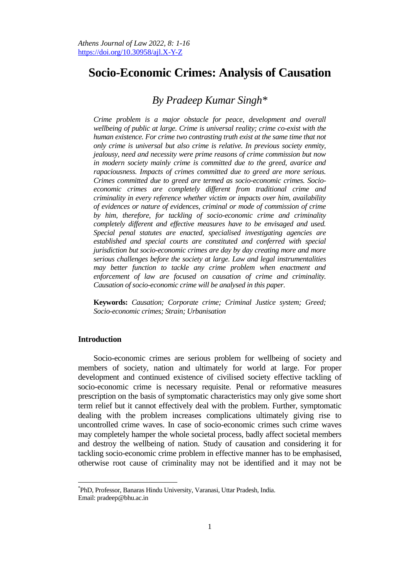# **Socio-Economic Crimes: Analysis of Causation**

## *By Pradeep Kumar Singh\**

*Crime problem is a major obstacle for peace, development and overall wellbeing of public at large. Crime is universal reality; crime co-exist with the human existence. For crime two contrasting truth exist at the same time that not only crime is universal but also crime is relative. In previous society enmity, jealousy, need and necessity were prime reasons of crime commission but now in modern society mainly crime is committed due to the greed, avarice and rapaciousness. Impacts of crimes committed due to greed are more serious. Crimes committed due to greed are termed as socio-economic crimes. Socioeconomic crimes are completely different from traditional crime and criminality in every reference whether victim or impacts over him, availability of evidences or nature of evidences, criminal or mode of commission of crime by him, therefore, for tackling of socio-economic crime and criminality completely different and effective measures have to be envisaged and used. Special penal statutes are enacted, specialised investigating agencies are established and special courts are constituted and conferred with special jurisdiction but socio-economic crimes are day by day creating more and more serious challenges before the society at large. Law and legal instrumentalities may better function to tackle any crime problem when enactment and enforcement of law are focused on causation of crime and criminality. Causation of socio-economic crime will be analysed in this paper.* 

**Keywords:** *Causation; Corporate crime; Criminal Justice system; Greed; Socio-economic crimes; Strain; Urbanisation*

## **Introduction**

 $\overline{\phantom{a}}$ 

Socio-economic crimes are serious problem for wellbeing of society and members of society, nation and ultimately for world at large. For proper development and continued existence of civilised society effective tackling of socio-economic crime is necessary requisite. Penal or reformative measures prescription on the basis of symptomatic characteristics may only give some short term relief but it cannot effectively deal with the problem. Further, symptomatic dealing with the problem increases complications ultimately giving rise to uncontrolled crime waves. In case of socio-economic crimes such crime waves may completely hamper the whole societal process, badly affect societal members and destroy the wellbeing of nation. Study of causation and considering it for tackling socio-economic crime problem in effective manner has to be emphasised, otherwise root cause of criminality may not be identified and it may not be

<sup>\*</sup> PhD, Professor, Banaras Hindu University, Varanasi, Uttar Pradesh, India. Email: pradeep@bhu.ac.in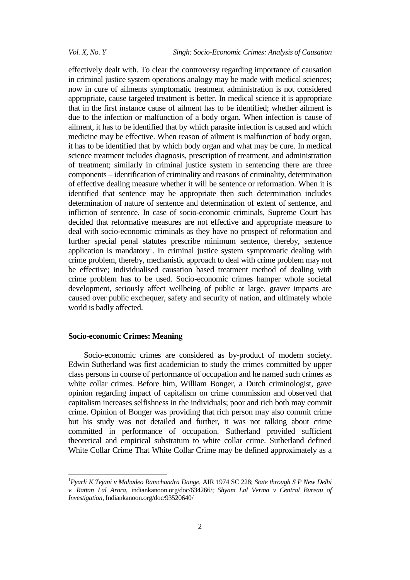effectively dealt with. To clear the controversy regarding importance of causation in criminal justice system operations analogy may be made with medical sciences; now in cure of ailments symptomatic treatment administration is not considered appropriate, cause targeted treatment is better. In medical science it is appropriate that in the first instance cause of ailment has to be identified; whether ailment is due to the infection or malfunction of a body organ. When infection is cause of ailment, it has to be identified that by which parasite infection is caused and which medicine may be effective. When reason of ailment is malfunction of body organ, it has to be identified that by which body organ and what may be cure. In medical science treatment includes diagnosis, prescription of treatment, and administration of treatment; similarly in criminal justice system in sentencing there are three components – identification of criminality and reasons of criminality, determination of effective dealing measure whether it will be sentence or reformation. When it is identified that sentence may be appropriate then such determination includes determination of nature of sentence and determination of extent of sentence, and infliction of sentence. In case of socio-economic criminals, Supreme Court has decided that reformative measures are not effective and appropriate measure to deal with socio-economic criminals as they have no prospect of reformation and further special penal statutes prescribe minimum sentence, thereby, sentence application is mandatory<sup>1</sup>. In criminal justice system symptomatic dealing with crime problem, thereby, mechanistic approach to deal with crime problem may not be effective; individualised causation based treatment method of dealing with crime problem has to be used. Socio-economic crimes hamper whole societal development, seriously affect wellbeing of public at large, graver impacts are caused over public exchequer, safety and security of nation, and ultimately whole world is badly affected.

## **Socio-economic Crimes: Meaning**

 $\overline{a}$ 

Socio-economic crimes are considered as by-product of modern society. Edwin Sutherland was first academician to study the crimes committed by upper class persons in course of performance of occupation and he named such crimes as white collar crimes. Before him, William Bonger, a Dutch criminologist, gave opinion regarding impact of capitalism on crime commission and observed that capitalism increases selfishness in the individuals; poor and rich both may commit crime. Opinion of Bonger was providing that rich person may also commit crime but his study was not detailed and further, it was not talking about crime committed in performance of occupation. Sutherland provided sufficient theoretical and empirical substratum to white collar crime. Sutherland defined White Collar Crime That White Collar Crime may be defined approximately as a

<sup>1</sup>*Pyarli K Tejani v Mahadeo Ramchandra Dange,* AIR 1974 SC 228; *State through S P New Delhi v. Rattan Lal Arora,* indiankanoon.org/doc/634266/; *Shyam Lal Verma v Central Bureau of Investigation*, Indiankanoon.org/doc/93520640/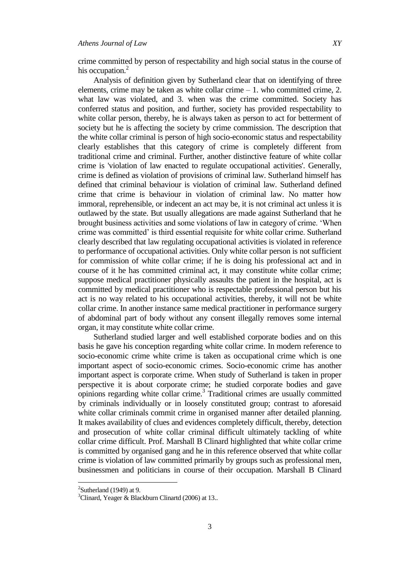crime committed by person of respectability and high social status in the course of his occupation.<sup>2</sup>

Analysis of definition given by Sutherland clear that on identifying of three elements, crime may be taken as white collar crime  $-1$ , who committed crime, 2. what law was violated, and 3. when was the crime committed. Society has conferred status and position, and further, society has provided respectability to white collar person, thereby, he is always taken as person to act for betterment of society but he is affecting the society by crime commission. The description that the white collar criminal is person of high socio-economic status and respectability clearly establishes that this category of crime is completely different from traditional crime and criminal. Further, another distinctive feature of white collar crime is 'violation of law enacted to regulate occupational activities'. Generally, crime is defined as violation of provisions of criminal law. Sutherland himself has defined that criminal behaviour is violation of criminal law. Sutherland defined crime that crime is behaviour in violation of criminal law. No matter how immoral, reprehensible, or indecent an act may be, it is not criminal act unless it is outlawed by the state. But usually allegations are made against Sutherland that he brought business activities and some violations of law in category of crime. 'When crime was committed' is third essential requisite for white collar crime. Sutherland clearly described that law regulating occupational activities is violated in reference to performance of occupational activities. Only white collar person is not sufficient for commission of white collar crime; if he is doing his professional act and in course of it he has committed criminal act, it may constitute white collar crime; suppose medical practitioner physically assaults the patient in the hospital, act is committed by medical practitioner who is respectable professional person but his act is no way related to his occupational activities, thereby, it will not be white collar crime. In another instance same medical practitioner in performance surgery of abdominal part of body without any consent illegally removes some internal organ, it may constitute white collar crime.

Sutherland studied larger and well established corporate bodies and on this basis he gave his conception regarding white collar crime. In modern reference to socio-economic crime white crime is taken as occupational crime which is one important aspect of socio-economic crimes. Socio-economic crime has another important aspect is corporate crime. When study of Sutherland is taken in proper perspective it is about corporate crime; he studied corporate bodies and gave opinions regarding white collar crime.<sup>3</sup> Traditional crimes are usually committed by criminals individually or in loosely constituted group; contrast to aforesaid white collar criminals commit crime in organised manner after detailed planning. It makes availability of clues and evidences completely difficult, thereby, detection and prosecution of white collar criminal difficult ultimately tackling of white collar crime difficult. Prof. Marshall B Clinard highlighted that white collar crime is committed by organised gang and he in this reference observed that white collar crime is violation of law committed primarily by groups such as professional men, businessmen and politicians in course of their occupation. Marshall B Clinard

 $\overline{\phantom{a}}$ 

 $2$ Sutherland (1949) at 9.

 $3$ Clinard, Yeager & Blackburn Clinartd (2006) at 13..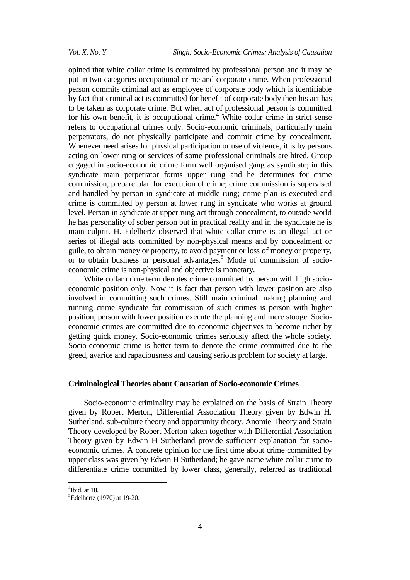opined that white collar crime is committed by professional person and it may be put in two categories occupational crime and corporate crime. When professional person commits criminal act as employee of corporate body which is identifiable by fact that criminal act is committed for benefit of corporate body then his act has to be taken as corporate crime. But when act of professional person is committed for his own benefit, it is occupational crime.<sup>4</sup> White collar crime in strict sense refers to occupational crimes only. Socio-economic criminals, particularly main perpetrators, do not physically participate and commit crime by concealment. Whenever need arises for physical participation or use of violence, it is by persons acting on lower rung or services of some professional criminals are hired. Group engaged in socio-economic crime form well organised gang as syndicate; in this syndicate main perpetrator forms upper rung and he determines for crime commission, prepare plan for execution of crime; crime commission is supervised and handled by person in syndicate at middle rung; crime plan is executed and crime is committed by person at lower rung in syndicate who works at ground level. Person in syndicate at upper rung act through concealment, to outside world he has personality of sober person but in practical reality and in the syndicate he is main culprit. H. Edelhertz observed that white collar crime is an illegal act or series of illegal acts committed by non-physical means and by concealment or guile, to obtain money or property, to avoid payment or loss of money or property, or to obtain business or personal advantages.<sup>5</sup> Mode of commission of socioeconomic crime is non-physical and objective is monetary.

White collar crime term denotes crime committed by person with high socioeconomic position only. Now it is fact that person with lower position are also involved in committing such crimes. Still main criminal making planning and running crime syndicate for commission of such crimes is person with higher position, person with lower position execute the planning and mere stooge. Socioeconomic crimes are committed due to economic objectives to become richer by getting quick money. Socio-economic crimes seriously affect the whole society. Socio-economic crime is better term to denote the crime committed due to the greed, avarice and rapaciousness and causing serious problem for society at large.

## **Criminological Theories about Causation of Socio-economic Crimes**

Socio-economic criminality may be explained on the basis of Strain Theory given by Robert Merton, Differential Association Theory given by Edwin H. Sutherland, sub-culture theory and opportunity theory. Anomie Theory and Strain Theory developed by Robert Merton taken together with Differential Association Theory given by Edwin H Sutherland provide sufficient explanation for socioeconomic crimes. A concrete opinion for the first time about crime committed by upper class was given by Edwin H Sutherland; he gave name white collar crime to differentiate crime committed by lower class, generally, referred as traditional

 $4$ Ibid, at 18.

<sup>5</sup>Edelhertz (1970) at 19-20.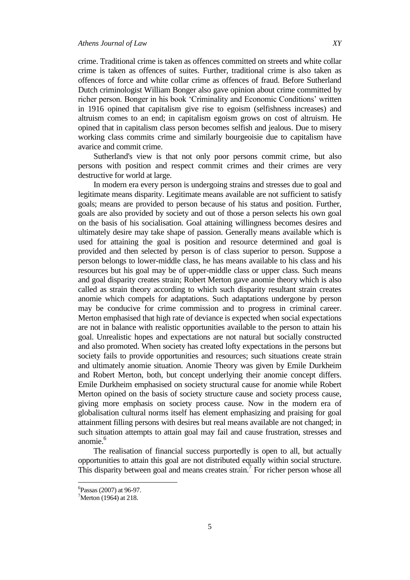crime. Traditional crime is taken as offences committed on streets and white collar crime is taken as offences of suites. Further, traditional crime is also taken as offences of force and white collar crime as offences of fraud. Before Sutherland Dutch criminologist William Bonger also gave opinion about crime committed by richer person. Bonger in his book 'Criminality and Economic Conditions' written in 1916 opined that capitalism give rise to egoism (selfishness increases) and altruism comes to an end; in capitalism egoism grows on cost of altruism. He opined that in capitalism class person becomes selfish and jealous. Due to misery working class commits crime and similarly bourgeoisie due to capitalism have avarice and commit crime.

Sutherland's view is that not only poor persons commit crime, but also persons with position and respect commit crimes and their crimes are very destructive for world at large.

In modern era every person is undergoing strains and stresses due to goal and legitimate means disparity. Legitimate means available are not sufficient to satisfy goals; means are provided to person because of his status and position. Further, goals are also provided by society and out of those a person selects his own goal on the basis of his socialisation. Goal attaining willingness becomes desires and ultimately desire may take shape of passion. Generally means available which is used for attaining the goal is position and resource determined and goal is provided and then selected by person is of class superior to person. Suppose a person belongs to lower-middle class, he has means available to his class and his resources but his goal may be of upper-middle class or upper class. Such means and goal disparity creates strain; Robert Merton gave anomie theory which is also called as strain theory according to which such disparity resultant strain creates anomie which compels for adaptations. Such adaptations undergone by person may be conducive for crime commission and to progress in criminal career. Merton emphasised that high rate of deviance is expected when social expectations are not in balance with realistic opportunities available to the person to attain his goal. Unrealistic hopes and expectations are not natural but socially constructed and also promoted. When society has created lofty expectations in the persons but society fails to provide opportunities and resources; such situations create strain and ultimately anomie situation. Anomie Theory was given by Emile Durkheim and Robert Merton, both, but concept underlying their anomie concept differs. Emile Durkheim emphasised on society structural cause for anomie while Robert Merton opined on the basis of society structure cause and society process cause, giving more emphasis on society process cause. Now in the modern era of globalisation cultural norms itself has element emphasizing and praising for goal attainment filling persons with desires but real means available are not changed; in such situation attempts to attain goal may fail and cause frustration, stresses and anomie.<sup>6</sup>

The realisation of financial success purportedly is open to all, but actually opportunities to attain this goal are not distributed equally within social structure. This disparity between goal and means creates strain.<sup>7</sup> For richer person whose all

 $\overline{\phantom{a}}$ 

<sup>6</sup> Passas (2007) at 96-97.

 $\mathrm{7}$ Merton (1964) at 218.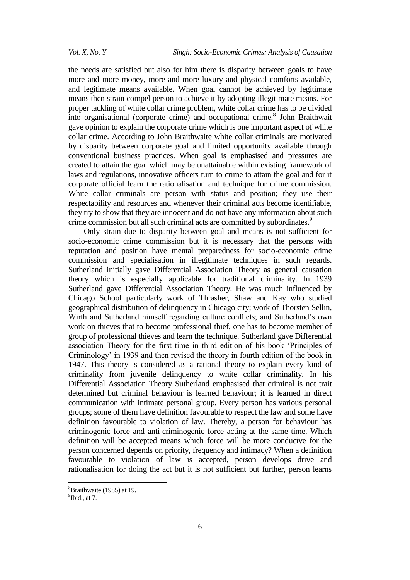the needs are satisfied but also for him there is disparity between goals to have more and more money, more and more luxury and physical comforts available, and legitimate means available. When goal cannot be achieved by legitimate means then strain compel person to achieve it by adopting illegitimate means. For proper tackling of white collar crime problem, white collar crime has to be divided into organisational (corporate crime) and occupational crime.<sup>8</sup> John Braithwait gave opinion to explain the corporate crime which is one important aspect of white collar crime. According to John Braithwaite white collar criminals are motivated by disparity between corporate goal and limited opportunity available through conventional business practices. When goal is emphasised and pressures are created to attain the goal which may be unattainable within existing framework of laws and regulations, innovative officers turn to crime to attain the goal and for it corporate official learn the rationalisation and technique for crime commission. White collar criminals are person with status and position; they use their respectability and resources and whenever their criminal acts become identifiable, they try to show that they are innocent and do not have any information about such crime commission but all such criminal acts are committed by subordinates.<sup>9</sup>

Only strain due to disparity between goal and means is not sufficient for socio-economic crime commission but it is necessary that the persons with reputation and position have mental preparedness for socio-economic crime commission and specialisation in illegitimate techniques in such regards. Sutherland initially gave Differential Association Theory as general causation theory which is especially applicable for traditional criminality. In 1939 Sutherland gave Differential Association Theory. He was much influenced by Chicago School particularly work of Thrasher, Shaw and Kay who studied geographical distribution of delinquency in Chicago city; work of Thorsten Sellin, Wirth and Sutherland himself regarding culture conflicts; and Sutherland's own work on thieves that to become professional thief, one has to become member of group of professional thieves and learn the technique. Sutherland gave Differential association Theory for the first time in third edition of his book 'Principles of Criminology' in 1939 and then revised the theory in fourth edition of the book in 1947. This theory is considered as a rational theory to explain every kind of criminality from juvenile delinquency to white collar criminality. In his Differential Association Theory Sutherland emphasised that criminal is not trait determined but criminal behaviour is learned behaviour; it is learned in direct communication with intimate personal group. Every person has various personal groups; some of them have definition favourable to respect the law and some have definition favourable to violation of law. Thereby, a person for behaviour has criminogenic force and anti-criminogenic force acting at the same time. Which definition will be accepted means which force will be more conducive for the person concerned depends on priority, frequency and intimacy? When a definition favourable to violation of law is accepted, person develops drive and rationalisation for doing the act but it is not sufficient but further, person learns

<sup>8</sup>Braithwaite (1985) at 19.

 $<sup>9</sup>$ Ibid., at 7.</sup>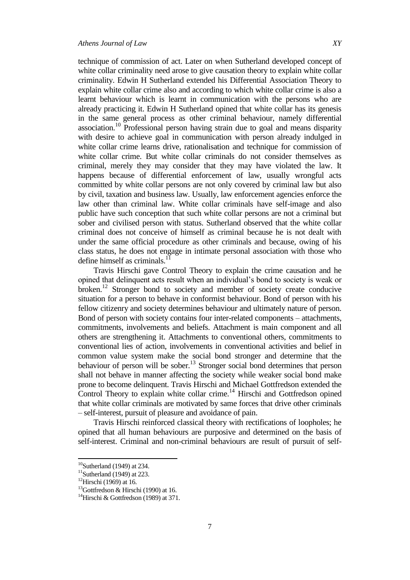technique of commission of act. Later on when Sutherland developed concept of white collar criminality need arose to give causation theory to explain white collar criminality. Edwin H Sutherland extended his Differential Association Theory to explain white collar crime also and according to which white collar crime is also a learnt behaviour which is learnt in communication with the persons who are already practicing it. Edwin H Sutherland opined that white collar has its genesis in the same general process as other criminal behaviour, namely differential association.<sup>10</sup> Professional person having strain due to goal and means disparity with desire to achieve goal in communication with person already indulged in white collar crime learns drive, rationalisation and technique for commission of white collar crime. But white collar criminals do not consider themselves as criminal, merely they may consider that they may have violated the law. It happens because of differential enforcement of law, usually wrongful acts committed by white collar persons are not only covered by criminal law but also by civil, taxation and business law. Usually, law enforcement agencies enforce the law other than criminal law. White collar criminals have self-image and also public have such conception that such white collar persons are not a criminal but sober and civilised person with status. Sutherland observed that the white collar criminal does not conceive of himself as criminal because he is not dealt with under the same official procedure as other criminals and because, owing of his class status, he does not engage in intimate personal association with those who define himself as criminals. $^{11}$ 

Travis Hirschi gave Control Theory to explain the crime causation and he opined that delinquent acts result when an individual's bond to society is weak or broken.<sup>12</sup> Stronger bond to society and member of society create conducive situation for a person to behave in conformist behaviour. Bond of person with his fellow citizenry and society determines behaviour and ultimately nature of person. Bond of person with society contains four inter-related components – attachments, commitments, involvements and beliefs. Attachment is main component and all others are strengthening it. Attachments to conventional others, commitments to conventional lies of action, involvements in conventional activities and belief in common value system make the social bond stronger and determine that the behaviour of person will be sober.<sup>13</sup> Stronger social bond determines that person shall not behave in manner affecting the society while weaker social bond make prone to become delinquent. Travis Hirschi and Michael Gottfredson extended the Control Theory to explain white collar crime.<sup>14</sup> Hirschi and Gottfredson opined that white collar criminals are motivated by same forces that drive other criminals – self-interest, pursuit of pleasure and avoidance of pain.

Travis Hirschi reinforced classical theory with rectifications of loopholes; he opined that all human behaviours are purposive and determined on the basis of self-interest. Criminal and non-criminal behaviours are result of pursuit of self-

 $\overline{a}$  $10$ Sutherland (1949) at 234.

 $11$ Sutherland (1949) at 223.

<sup>&</sup>lt;sup>12</sup>Hirschi (1969) at 16.

 $13$ Gottfredson & Hirschi (1990) at 16.

<sup>&</sup>lt;sup>14</sup>Hirschi & Gottfredson (1989) at 371.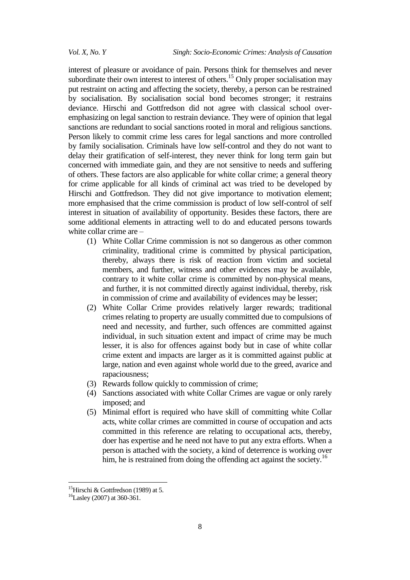interest of pleasure or avoidance of pain. Persons think for themselves and never subordinate their own interest to interest of others.<sup>15</sup> Only proper socialisation may put restraint on acting and affecting the society, thereby, a person can be restrained by socialisation. By socialisation social bond becomes stronger; it restrains deviance. Hirschi and Gottfredson did not agree with classical school overemphasizing on legal sanction to restrain deviance. They were of opinion that legal sanctions are redundant to social sanctions rooted in moral and religious sanctions. Person likely to commit crime less cares for legal sanctions and more controlled by family socialisation. Criminals have low self-control and they do not want to delay their gratification of self-interest, they never think for long term gain but concerned with immediate gain, and they are not sensitive to needs and suffering of others. These factors are also applicable for white collar crime; a general theory for crime applicable for all kinds of criminal act was tried to be developed by Hirschi and Gottfredson. They did not give importance to motivation element; more emphasised that the crime commission is product of low self-control of self interest in situation of availability of opportunity. Besides these factors, there are some additional elements in attracting well to do and educated persons towards white collar crime are –

- (1) White Collar Crime commission is not so dangerous as other common criminality, traditional crime is committed by physical participation, thereby, always there is risk of reaction from victim and societal members, and further, witness and other evidences may be available, contrary to it white collar crime is committed by non-physical means, and further, it is not committed directly against individual, thereby, risk in commission of crime and availability of evidences may be lesser;
- (2) White Collar Crime provides relatively larger rewards; traditional crimes relating to property are usually committed due to compulsions of need and necessity, and further, such offences are committed against individual, in such situation extent and impact of crime may be much lesser, it is also for offences against body but in case of white collar crime extent and impacts are larger as it is committed against public at large, nation and even against whole world due to the greed, avarice and rapaciousness;
- (3) Rewards follow quickly to commission of crime;
- (4) Sanctions associated with white Collar Crimes are vague or only rarely imposed; and
- (5) Minimal effort is required who have skill of committing white Collar acts, white collar crimes are committed in course of occupation and acts committed in this reference are relating to occupational acts, thereby, doer has expertise and he need not have to put any extra efforts. When a person is attached with the society, a kind of deterrence is working over him, he is restrained from doing the offending act against the society.<sup>16</sup>

<sup>&</sup>lt;sup>15</sup>Hirschi & Gottfredson (1989) at 5.

<sup>&</sup>lt;sup>16</sup>Lasley (2007) at 360-361.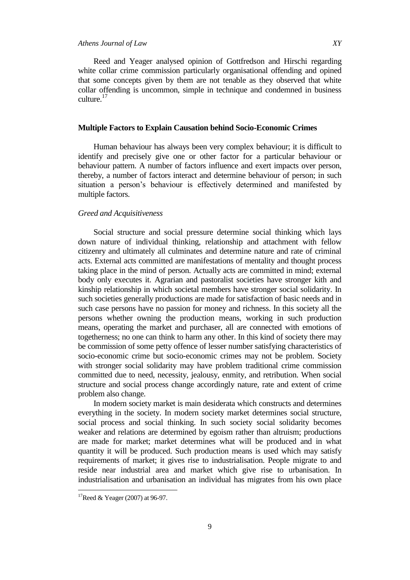## *Athens Journal of Law XY*

Reed and Yeager analysed opinion of Gottfredson and Hirschi regarding white collar crime commission particularly organisational offending and opined that some concepts given by them are not tenable as they observed that white collar offending is uncommon, simple in technique and condemned in business culture.<sup>17</sup>

## **Multiple Factors to Explain Causation behind Socio-Economic Crimes**

Human behaviour has always been very complex behaviour; it is difficult to identify and precisely give one or other factor for a particular behaviour or behaviour pattern. A number of factors influence and exert impacts over person, thereby, a number of factors interact and determine behaviour of person; in such situation a person's behaviour is effectively determined and manifested by multiple factors.

#### *Greed and Acquisitiveness*

Social structure and social pressure determine social thinking which lays down nature of individual thinking, relationship and attachment with fellow citizenry and ultimately all culminates and determine nature and rate of criminal acts. External acts committed are manifestations of mentality and thought process taking place in the mind of person. Actually acts are committed in mind; external body only executes it. Agrarian and pastoralist societies have stronger kith and kinship relationship in which societal members have stronger social solidarity. In such societies generally productions are made for satisfaction of basic needs and in such case persons have no passion for money and richness. In this society all the persons whether owning the production means, working in such production means, operating the market and purchaser, all are connected with emotions of togetherness; no one can think to harm any other. In this kind of society there may be commission of some petty offence of lesser number satisfying characteristics of socio-economic crime but socio-economic crimes may not be problem. Society with stronger social solidarity may have problem traditional crime commission committed due to need, necessity, jealousy, enmity, and retribution. When social structure and social process change accordingly nature, rate and extent of crime problem also change.

In modern society market is main desiderata which constructs and determines everything in the society. In modern society market determines social structure, social process and social thinking. In such society social solidarity becomes weaker and relations are determined by egoism rather than altruism; productions are made for market; market determines what will be produced and in what quantity it will be produced. Such production means is used which may satisfy requirements of market; it gives rise to industrialisation. People migrate to and reside near industrial area and market which give rise to urbanisation. In industrialisation and urbanisation an individual has migrates from his own place

<sup>&</sup>lt;sup>17</sup>Reed & Yeager (2007) at 96-97.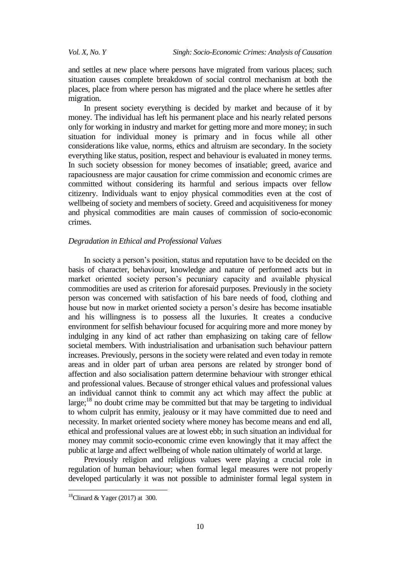and settles at new place where persons have migrated from various places; such situation causes complete breakdown of social control mechanism at both the places, place from where person has migrated and the place where he settles after migration.

In present society everything is decided by market and because of it by money. The individual has left his permanent place and his nearly related persons only for working in industry and market for getting more and more money; in such situation for individual money is primary and in focus while all other considerations like value, norms, ethics and altruism are secondary. In the society everything like status, position, respect and behaviour is evaluated in money terms. In such society obsession for money becomes of insatiable; greed, avarice and rapaciousness are major causation for crime commission and economic crimes are committed without considering its harmful and serious impacts over fellow citizenry. Individuals want to enjoy physical commodities even at the cost of wellbeing of society and members of society. Greed and acquisitiveness for money and physical commodities are main causes of commission of socio-economic crimes.

## *Degradation in Ethical and Professional Values*

In society a person's position, status and reputation have to be decided on the basis of character, behaviour, knowledge and nature of performed acts but in market oriented society person's pecuniary capacity and available physical commodities are used as criterion for aforesaid purposes. Previously in the society person was concerned with satisfaction of his bare needs of food, clothing and house but now in market oriented society a person's desire has become insatiable and his willingness is to possess all the luxuries. It creates a conducive environment for selfish behaviour focused for acquiring more and more money by indulging in any kind of act rather than emphasizing on taking care of fellow societal members. With industrialisation and urbanisation such behaviour pattern increases. Previously, persons in the society were related and even today in remote areas and in older part of urban area persons are related by stronger bond of affection and also socialisation pattern determine behaviour with stronger ethical and professional values. Because of stronger ethical values and professional values an individual cannot think to commit any act which may affect the public at large; $^{18}$  no doubt crime may be committed but that may be targeting to individual to whom culprit has enmity, jealousy or it may have committed due to need and necessity. In market oriented society where money has become means and end all, ethical and professional values are at lowest ebb; in such situation an individual for money may commit socio-economic crime even knowingly that it may affect the public at large and affect wellbeing of whole nation ultimately of world at large.

Previously religion and religious values were playing a crucial role in regulation of human behaviour; when formal legal measures were not properly developed particularly it was not possible to administer formal legal system in

1

 $18$ Clinard & Yager (2017) at 300.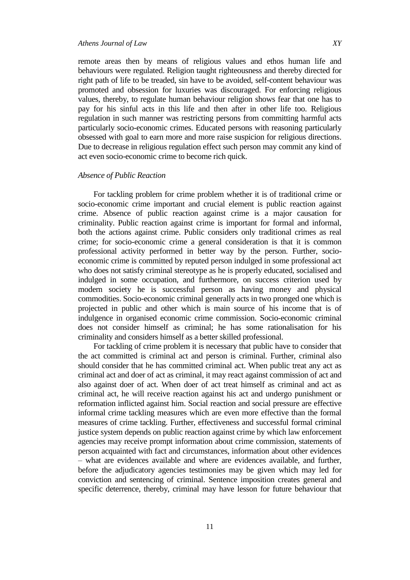## *Athens Journal of Law XY*

remote areas then by means of religious values and ethos human life and behaviours were regulated. Religion taught righteousness and thereby directed for right path of life to be treaded, sin have to be avoided, self-content behaviour was promoted and obsession for luxuries was discouraged. For enforcing religious values, thereby, to regulate human behaviour religion shows fear that one has to pay for his sinful acts in this life and then after in other life too. Religious regulation in such manner was restricting persons from committing harmful acts particularly socio-economic crimes. Educated persons with reasoning particularly obsessed with goal to earn more and more raise suspicion for religious directions. Due to decrease in religious regulation effect such person may commit any kind of act even socio-economic crime to become rich quick.

#### *Absence of Public Reaction*

For tackling problem for crime problem whether it is of traditional crime or socio-economic crime important and crucial element is public reaction against crime. Absence of public reaction against crime is a major causation for criminality. Public reaction against crime is important for formal and informal, both the actions against crime. Public considers only traditional crimes as real crime; for socio-economic crime a general consideration is that it is common professional activity performed in better way by the person. Further, socioeconomic crime is committed by reputed person indulged in some professional act who does not satisfy criminal stereotype as he is properly educated, socialised and indulged in some occupation, and furthermore, on success criterion used by modern society he is successful person as having money and physical commodities. Socio-economic criminal generally acts in two pronged one which is projected in public and other which is main source of his income that is of indulgence in organised economic crime commission. Socio-economic criminal does not consider himself as criminal; he has some rationalisation for his criminality and considers himself as a better skilled professional.

For tackling of crime problem it is necessary that public have to consider that the act committed is criminal act and person is criminal. Further, criminal also should consider that he has committed criminal act. When public treat any act as criminal act and doer of act as criminal, it may react against commission of act and also against doer of act. When doer of act treat himself as criminal and act as criminal act, he will receive reaction against his act and undergo punishment or reformation inflicted against him. Social reaction and social pressure are effective informal crime tackling measures which are even more effective than the formal measures of crime tackling. Further, effectiveness and successful formal criminal justice system depends on public reaction against crime by which law enforcement agencies may receive prompt information about crime commission, statements of person acquainted with fact and circumstances, information about other evidences – what are evidences available and where are evidences available, and further, before the adjudicatory agencies testimonies may be given which may led for conviction and sentencing of criminal. Sentence imposition creates general and specific deterrence, thereby, criminal may have lesson for future behaviour that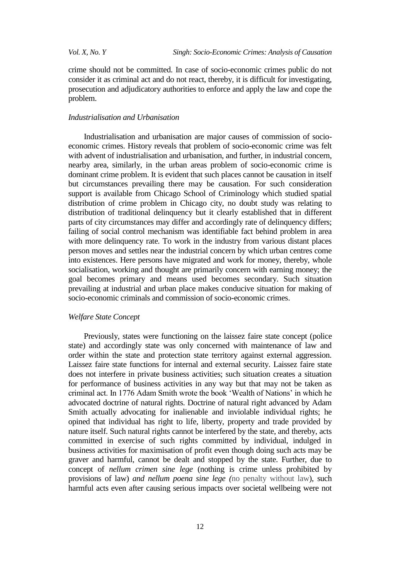crime should not be committed. In case of socio-economic crimes public do not consider it as criminal act and do not react, thereby, it is difficult for investigating, prosecution and adjudicatory authorities to enforce and apply the law and cope the problem.

#### *Industrialisation and Urbanisation*

Industrialisation and urbanisation are major causes of commission of socioeconomic crimes. History reveals that problem of socio-economic crime was felt with advent of industrialisation and urbanisation, and further, in industrial concern, nearby area, similarly, in the urban areas problem of socio-economic crime is dominant crime problem. It is evident that such places cannot be causation in itself but circumstances prevailing there may be causation. For such consideration support is available from Chicago School of Criminology which studied spatial distribution of crime problem in Chicago city, no doubt study was relating to distribution of traditional delinquency but it clearly established that in different parts of city circumstances may differ and accordingly rate of delinquency differs; failing of social control mechanism was identifiable fact behind problem in area with more delinquency rate. To work in the industry from various distant places person moves and settles near the industrial concern by which urban centres come into existences. Here persons have migrated and work for money, thereby, whole socialisation, working and thought are primarily concern with earning money; the goal becomes primary and means used becomes secondary. Such situation prevailing at industrial and urban place makes conducive situation for making of socio-economic criminals and commission of socio-economic crimes.

#### *Welfare State Concept*

Previously, states were functioning on the laissez faire state concept (police state) and accordingly state was only concerned with maintenance of law and order within the state and protection state territory against external aggression. Laissez faire state functions for internal and external security. Laissez faire state does not interfere in private business activities; such situation creates a situation for performance of business activities in any way but that may not be taken as criminal act. In 1776 Adam Smith wrote the book 'Wealth of Nations' in which he advocated doctrine of natural rights. Doctrine of natural right advanced by Adam Smith actually advocating for inalienable and inviolable individual rights; he opined that individual has right to life, liberty, property and trade provided by nature itself. Such natural rights cannot be interfered by the state, and thereby, acts committed in exercise of such rights committed by individual, indulged in business activities for maximisation of profit even though doing such acts may be graver and harmful, cannot be dealt and stopped by the state. Further, due to concept of *nellum crimen sine lege* (nothing is crime unless prohibited by provisions of law) *and nellum poena sine lege (*no penalty without law), such harmful acts even after causing serious impacts over societal wellbeing were not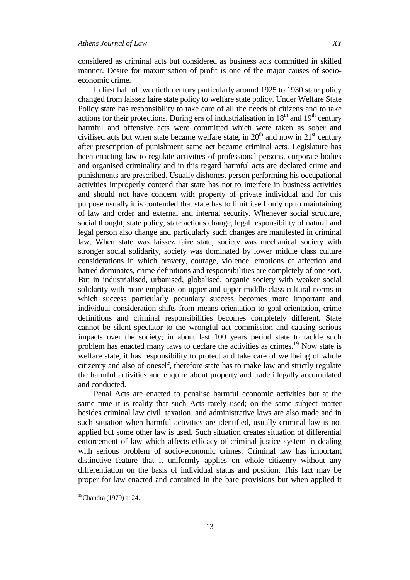considered as criminal acts but considered as business acts committed in skilled manner. Desire for maximisation of profit is one of the major causes of socioeconomic crime.

In first half of twentieth century particularly around 1925 to 1930 state policy changed from laissez faire state policy to welfare state policy. Under Welfare State Policy state has responsibility to take care of all the needs of citizens and to take actions for their protections. During era of industrialisation in  $18<sup>th</sup>$  and  $19<sup>th</sup>$  century harmful and offensive acts were committed which were taken as sober and civilised acts but when state became welfare state, in  $20<sup>th</sup>$  and now in  $21<sup>st</sup>$  century after prescription of punishment same act became criminal acts. Legislature has been enacting law to regulate activities of professional persons, corporate bodies and organised criminality and in this regard harmful acts are declared crime and punishments are prescribed. Usually dishonest person performing his occupational activities improperly contend that state has not to interfere in business activities and should not have concern with property of private individual and for this purpose usually it is contended that state has to limit itself only up to maintaining of law and order and external and internal security. Whenever social structure, social thought, state policy, state actions change, legal responsibility of natural and legal person also change and particularly such changes are manifested in criminal law. When state was laissez faire state, society was mechanical society with stronger social solidarity, society was dominated by lower middle class culture considerations in which bravery, courage, violence, emotions of affection and hatred dominates, crime definitions and responsibilities are completely of one sort. But in industrialised, urbanised, globalised, organic society with weaker social solidarity with more emphasis on upper and upper middle class cultural norms in which success particularly pecuniary success becomes more important and individual consideration shifts from means orientation to goal orientation, crime definitions and criminal responsibilities becomes completely different. State cannot be silent spectator to the wrongful act commission and causing serious impacts over the society; in about last 100 years period state to tackle such problem has enacted many laws to declare the activities as crimes.<sup>19</sup> Now state is welfare state, it has responsibility to protect and take care of wellbeing of whole citizenry and also of oneself, therefore state has to make law and strictly regulate the harmful activities and enquire about property and trade illegally accumulated and conducted.

Penal Acts are enacted to penalise harmful economic activities but at the same time it is reality that such Acts rarely used; on the same subject matter besides criminal law civil, taxation, and administrative laws are also made and in such situation when harmful activities are identified, usually criminal law is not applied but some other law is used. Such situation creates situation of differential enforcement of law which affects efficacy of criminal justice system in dealing with serious problem of socio-economic crimes. Criminal law has important distinctive feature that it uniformly applies on whole citizenry without any differentiation on the basis of individual status and position. This fact may be proper for law enacted and contained in the bare provisions but when applied it

 $19$ Chandra (1979) at 24.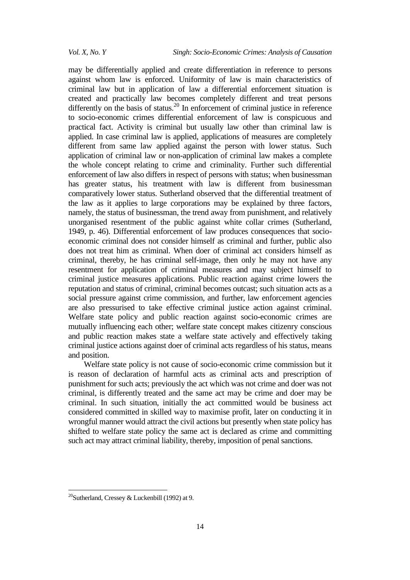may be differentially applied and create differentiation in reference to persons against whom law is enforced. Uniformity of law is main characteristics of criminal law but in application of law a differential enforcement situation is created and practically law becomes completely different and treat persons differently on the basis of status.<sup>20</sup> In enforcement of criminal justice in reference to socio-economic crimes differential enforcement of law is conspicuous and practical fact. Activity is criminal but usually law other than criminal law is applied. In case criminal law is applied, applications of measures are completely different from same law applied against the person with lower status. Such application of criminal law or non-application of criminal law makes a complete the whole concept relating to crime and criminality. Further such differential enforcement of law also differs in respect of persons with status; when businessman has greater status, his treatment with law is different from businessman comparatively lower status. Sutherland observed that the differential treatment of the law as it applies to large corporations may be explained by three factors, namely, the status of businessman, the trend away from punishment, and relatively unorganised resentment of the public against white collar crimes (Sutherland, 1949, p. 46). Differential enforcement of law produces consequences that socioeconomic criminal does not consider himself as criminal and further, public also does not treat him as criminal. When doer of criminal act considers himself as criminal, thereby, he has criminal self-image, then only he may not have any resentment for application of criminal measures and may subject himself to criminal justice measures applications. Public reaction against crime lowers the reputation and status of criminal, criminal becomes outcast; such situation acts as a social pressure against crime commission, and further, law enforcement agencies are also pressurised to take effective criminal justice action against criminal. Welfare state policy and public reaction against socio-economic crimes are mutually influencing each other; welfare state concept makes citizenry conscious and public reaction makes state a welfare state actively and effectively taking criminal justice actions against doer of criminal acts regardless of his status, means and position.

Welfare state policy is not cause of socio-economic crime commission but it is reason of declaration of harmful acts as criminal acts and prescription of punishment for such acts; previously the act which was not crime and doer was not criminal, is differently treated and the same act may be crime and doer may be criminal. In such situation, initially the act committed would be business act considered committed in skilled way to maximise profit, later on conducting it in wrongful manner would attract the civil actions but presently when state policy has shifted to welfare state policy the same act is declared as crime and committing such act may attract criminal liability, thereby, imposition of penal sanctions.

1

<sup>&</sup>lt;sup>20</sup>Sutherland, Cressey & Luckenbill (1992) at 9.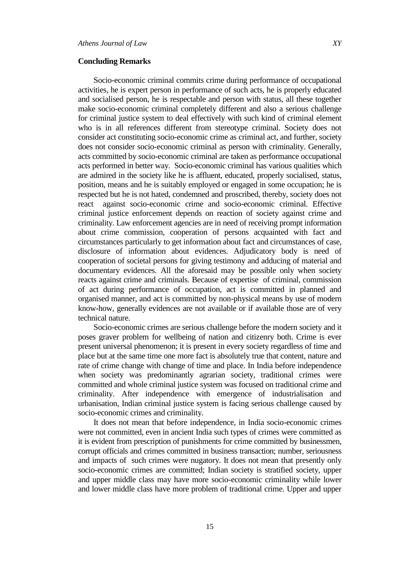#### **Concluding Remarks**

Socio-economic criminal commits crime during performance of occupational activities, he is expert person in performance of such acts, he is properly educated and socialised person, he is respectable and person with status, all these together make socio-economic criminal completely different and also a serious challenge for criminal justice system to deal effectively with such kind of criminal element who is in all references different from stereotype criminal. Society does not consider act constituting socio-economic crime as criminal act, and further, society does not consider socio-economic criminal as person with criminality. Generally, acts committed by socio-economic criminal are taken as performance occupational acts performed in better way. Socio-economic criminal has various qualities which are admired in the society like he is affluent, educated, properly socialised, status, position, means and he is suitably employed or engaged in some occupation; he is respected but he is not hated, condemned and proscribed, thereby, society does not react against socio-economic crime and socio-economic criminal. Effective criminal justice enforcement depends on reaction of society against crime and criminality. Law enforcement agencies are in need of receiving prompt information about crime commission, cooperation of persons acquainted with fact and circumstances particularly to get information about fact and circumstances of case, disclosure of information about evidences. Adjudicatory body is need of cooperation of societal persons for giving testimony and adducing of material and documentary evidences. All the aforesaid may be possible only when society reacts against crime and criminals. Because of expertise of criminal, commission of act during performance of occupation, act is committed in planned and organised manner, and act is committed by non-physical means by use of modern know-how, generally evidences are not available or if available those are of very technical nature.

Socio-economic crimes are serious challenge before the modern society and it poses graver problem for wellbeing of nation and citizenry both. Crime is ever present universal phenomenon; it is present in every society regardless of time and place but at the same time one more fact is absolutely true that content, nature and rate of crime change with change of time and place. In India before independence when society was predominantly agrarian society, traditional crimes were committed and whole criminal justice system was focused on traditional crime and criminality. After independence with emergence of industrialisation and urbanisation, Indian criminal justice system is facing serious challenge caused by socio-economic crimes and criminality.

It does not mean that before independence, in India socio-economic crimes were not committed, even in ancient India such types of crimes were committed as it is evident from prescription of punishments for crime committed by businessmen, corrupt officials and crimes committed in business transaction; number, seriousness and impacts of such crimes were nugatory. It does not mean that presently only socio-economic crimes are committed; Indian society is stratified society, upper and upper middle class may have more socio-economic criminality while lower and lower middle class have more problem of traditional crime. Upper and upper